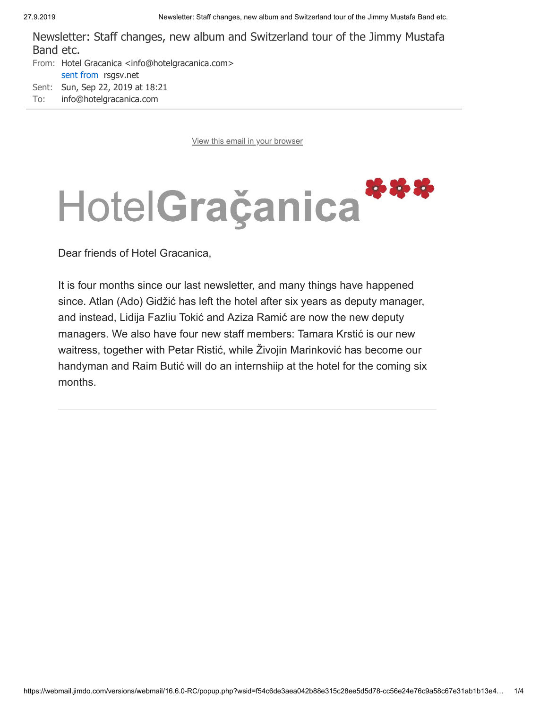Newsletter: Staff changes, new album and Switzerland tour of the Jimmy Mustafa Band etc.

From: [Hotel Gracanica <info@hotelgracanica.com>](javascript:void(0);) sent from [rsgsv.net](javascript:void(0);) Sent: Sun, Sep 22, 2019 at 18:21 To: [info@hotelgracanica.com](javascript:void(0);)

[View this email in your browser](https://mailchi.mp/9301a0df54b0/newsletter-staff-changes-new-album-and-switzerland-tour-of-the-jimmy-mustafa-band-etc?e=1bb4a33e10)



Dear friends of Hotel Gracanica,

It is four months since our last newsletter, and many things have happened since. Atlan (Ado) Gidžić has left the hotel after six years as deputy manager, and instead, Lidija Fazliu Tokić and Aziza Ramić are now the new deputy managers. We also have four new staff members: Tamara Krstić is our new waitress, together with Petar Ristić, while Živojin Marinković has become our handyman and Raim Butić will do an internshiip at the hotel for the coming six months.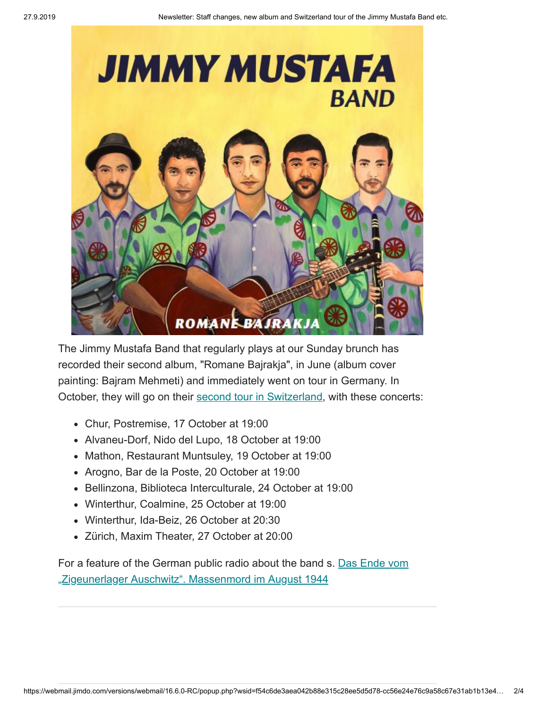

The Jimmy Mustafa Band that regularly plays at our Sunday brunch has recorded their second album, "Romane Bajrakja", in June (album cover painting: Bajram Mehmeti) and immediately went on tour in Germany. In October, they will go on their [second tour in Switzerland](https://hotelgracanica.us20.list-manage.com/track/click?u=710101f532782e0d56495f5c4&id=b190148fbf&e=1bb4a33e10), with these concerts:

- Chur, Postremise, 17 October at 19:00
- Alvaneu-Dorf, Nido del Lupo, 18 October at 19:00
- Mathon, Restaurant Muntsuley, 19 October at 19:00
- Arogno, Bar de la Poste, 20 October at 19:00
- Bellinzona, Biblioteca Interculturale, 24 October at 19:00
- Winterthur, Coalmine, 25 October at 19:00
- Winterthur, Ida-Beiz, 26 October at 20:30
- Zürich, Maxim Theater, 27 October at 20:00

[For a feature of the German public radio about the band s. Das Ende vom](https://hotelgracanica.us20.list-manage.com/track/click?u=710101f532782e0d56495f5c4&id=2d0b15da5d&e=1bb4a33e10) "Zigeunerlager Auschwitz". Massenmord im August 1944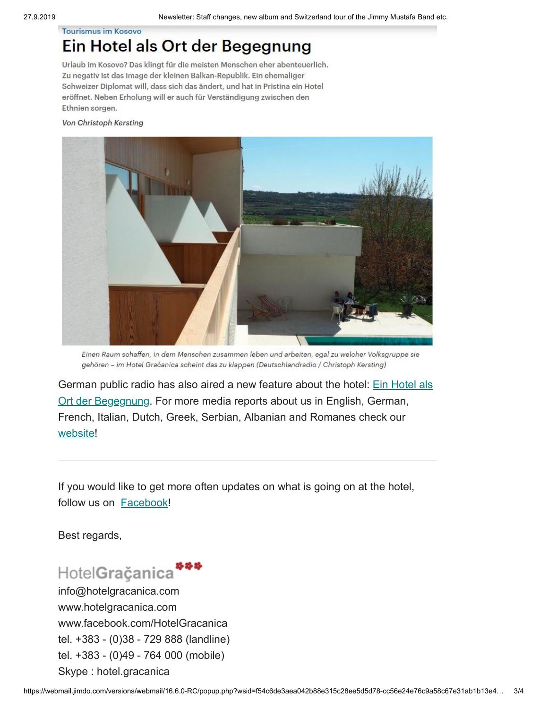## **Tourismus im Kosovo**

## Ein Hotel als Ort der Begegnung

Urlaub im Kosovo? Das klingt für die meisten Menschen eher abenteuerlich. Zu negativ ist das Image der kleinen Balkan-Republik. Ein ehemaliger Schweizer Diplomat will, dass sich das ändert, und hat in Pristina ein Hotel eröffnet. Neben Erholung will er auch für Verständigung zwischen den Ethnien sorgen.

Von Christoph Kersting



Einen Raum schaffen, in dem Menschen zusammen leben und arbeiten, egal zu welcher Volksgruppe sie gehören - im Hotel Gračanica scheint das zu klappen (Deutschlandradio / Christoph Kersting)

German public radio has also aired a new feature about the hotel: **Ein Hotel als** Ort der Begegnung. For more media reports about us in English, German, French, Italian, Dutch, Greek, Serbian, Albanian and Romanes check our [website!](https://hotelgracanica.us20.list-manage.com/track/click?u=710101f532782e0d56495f5c4&id=5a4dadd009&e=1bb4a33e10)

If you would like to get more often updates on what is going on at the hotel, follow us on [Facebook!](https://hotelgracanica.us20.list-manage.com/track/click?u=710101f532782e0d56495f5c4&id=9c292dbf9b&e=1bb4a33e10)

Best regards,

## HotelGračanica

info@hotelgracanica.com www.hotelgracanica.com www.facebook.com/HotelGracanica tel. +383 - (0)38 - 729 888 (landline) tel. +383 - (0)49 - 764 000 (mobile) Skype : hotel.gracanica